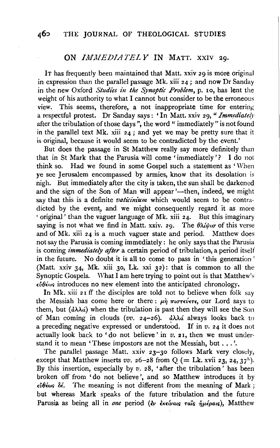## ON *IMMEDIATELY* IN MATT. XXIV 29.

IT has frequently been maintained that Matt. xxiv 29 is more original in expression than the parallel passage Mk. xiii 24; and now Dr Sanday in the new Oxford *Studies in the Synoptic Problem*, p. 10, has lent the weight of his authority to what I cannot but consider to be the erroneous view. This seems, therefore, a not inappropriate time for entering a respectful protest. Dr Sanday says: 'In Matt. xxiv 29, " Immediately after the tribulation of those days ", the word " immediately "is not found in the parallel text Mk. xiii  $24$ ; and yet we may be pretty sure that it is original, because it would seem to be contradicted by the event.'

But does the passage in St Matthew really say more definitely than that in St Mark that the Parusia will come 'immediately'? I do not think so. Had we found in some Gospel such a statement as 'When ye see Jerusalem encompassed by armies, know that its desolation is nigh. But immediately after the city is taken, the sun shall be darkened and the sign of the Son of Man will appear '---then, indeed, we might say that this is a definite *vaticinium* which would seem to be contradicted by the event, and we might consequently regard it as more 'original' than the vaguer language of Mk. xiii 24. But this imaginary saying is not what we find in Matt. xxiv. 29. The  $\theta \lambda \dot{\theta}$  of this verse and of Mk. xiii 24 is a much vaguer state and period. Matthew does not say the Parusia is coming immediately : he only says that the Parusia is coming *immediately after* a certain period of tribulation, a period itself in the future. No doubt it is all to come to pass in 'this generation' (Matt. xxiv  $34$ , Mk. xiii 30, Lk. xxi  $32$ ): that is common to all the Synoptic Gospels. What I am here trying to point out is that Matthew's *£M£w,.* introduces no new element into the anticipated chronology.

In Mk. xiii  $2I$  ff the disciples are told not to believe when folk say the Messiah has come here or there:  $\mu \hat{\eta}$   $\pi \iota \sigma \tau \epsilon \hat{\nu} \epsilon \tau \epsilon$ , our Lord says to them, but  $(\dot{a}\lambda\lambda\dot{a})$  when the tribulation is past then they will see the Son of Man coming in clouds ( $vv$ . 24-26).  $\partial \lambda \lambda d$  always looks back to a preceding negative expressed or understood. If in  $v$ . 24 it does not actually look back to 'do not believe' in *v.* 21, then we must understand it to mean 'These impostors are not the Messiah, but ... '.

The parallel passage Matt. xxiv 23-30 follows Mark very closely, except that Matthew inserts  $vv$ . 26-28 from Q (= Lk. xvii 23, 24, 37<sup>11</sup>). By this insertion, especially by *v.* 28, 'after the tribulation' has been broken off from 'do not believe'. and so Matthew introduces it by *£Mlw'> 8£.* The meaning is not different from the meaning of Mark ; but whereas Mark speaks of the future tribulation and the future Parusia as being all in one period (εν έκείναις ταΐς ήμέραις), Matthew